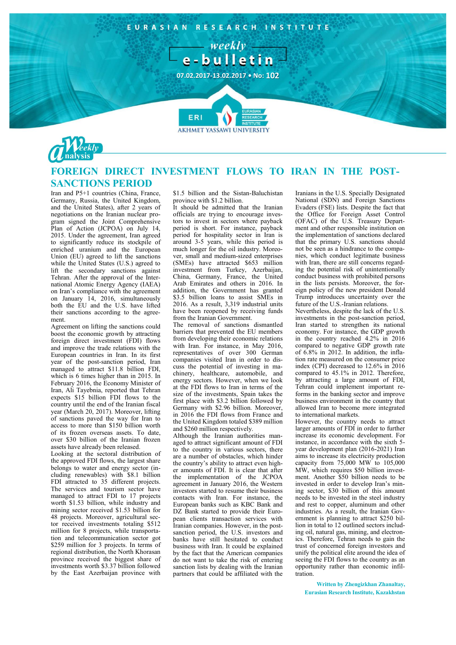



## **FOREIGN DIRECT INVESTMENT FLOWS TO IRAN IN THE POST-SANCTIONS PERIOD**

Iran and P5+1 countries (China, France, Germany, Russia, the United Kingdom, and the United States), after 2 years of negotiations on the Iranian nuclear program signed the Joint Comprehensive Plan of Action (JCPOA) on July 14, 2015. Under the agreement, Iran agreed to significantly reduce its stockpile of enriched uranium and the European Union (EU) agreed to lift the sanctions while the United States (U.S.) agreed to lift the secondary sanctions against Tehran. After the approval of the International Atomic Energy Agency (IAEA) on Iran's compliance with the agreement on January 14, 2016, simultaneously both the EU and the U.S. have lifted their sanctions according to the agreement.

Agreement on lifting the sanctions could boost the economic growth by attracting foreign direct investment (FDI) flows and improve the trade relations with the European countries in Iran. In its first year of the post-sanction period, Iran managed to attract \$11.8 billion FDI, which is 6 times higher than in 2015. In February 2016, the Economy Minister of Iran, Ali Tayebnia, reported that Tehran expects \$15 billion FDI flows to the country until the end of the Iranian fiscal year (March 20, 2017). Moreover, lifting of sanctions paved the way for Iran to access to more than \$150 billion worth of its frozen overseas assets. To date, over \$30 billion of the Iranian frozen assets have already been released.

Looking at the sectoral distribution of the approved FDI flows, the largest share belongs to water and energy sector (including renewables) with \$8.1 billion FDI attracted to 35 different projects. The services and tourism sector have managed to attract FDI to 17 projects worth \$1.53 billion, while industry and mining sector received \$1.53 billion for 48 projects. Moreover, agricultural sector received investments totaling \$512 million for 8 projects, while transportation and telecommunication sector got \$259 million for 3 projects. In terms of regional distribution, the North Khorasan province received the biggest share of investments worth \$3.37 billion followed by the East Azerbaijan province with

\$1.5 billion and the Sistan-Baluchistan province with \$1.2 billion.

It should be admitted that the Iranian officials are trying to encourage investors to invest in sectors where payback period is short. For instance, payback period for hospitality sector in Iran is around 3-5 years, while this period is much longer for the oil industry. Moreover, small and medium-sized enterprises (SMEs) have attracted \$653 million investment from Turkey, Azerbaijan, China, Germany, France, the United Arab Emirates and others in 2016. In addition, the Government has granted \$3.5 billion loans to assist SMEs in 2016. As a result, 3,319 industrial units have been reopened by receiving funds from the Iranian Government.

The removal of sanctions dismantled barriers that prevented the EU members from developing their economic relations with Iran. For instance, in May 2016, representatives of over 300 German companies visited Iran in order to discuss the potential of investing in machinery, healthcare, automobile, and energy sectors. However, when we look at the FDI flows to Iran in terms of the size of the investments, Spain takes the first place with \$3.2 billion followed by Germany with \$2.96 billion. Moreover, in 2016 the FDI flows from France and the United Kingdom totaled \$389 million and \$260 million respectively.

Although the Iranian authorities managed to attract significant amount of FDI to the country in various sectors, there are a number of obstacles, which hinder the country's ability to attract even higher amounts of FDI. It is clear that after the implementation of the JCPOA agreement in January 2016, the Western investors started to resume their business contacts with Iran. For instance, the European banks such as KBC Bank and DZ Bank started to provide their European clients transaction services with Iranian companies. However, in the postsanction period, the U.S. investors and banks have still hesitated to conduct business with Iran. It could be explained by the fact that the American companies do not want to take the risk of entering sanction lists by dealing with the Iranian partners that could be affiliated with the

Iranians in the U.S. Specially Designated National (SDN) and Foreign Sanctions Evaders (FSE) lists. Despite the fact that the Office for Foreign Asset Control (OFAC) of the U.S. Treasury Department and other responsible institution on the implementation of sanctions declared that the primary U.S. sanctions should not be seen as a hindrance to the companies, which conduct legitimate business with Iran, there are still concerns regarding the potential risk of unintentionally conduct business with prohibited persons in the lists persists. Moreover, the foreign policy of the new president Donald Trump introduces uncertainty over the future of the U.S.-Iranian relations.

Nevertheless, despite the lack of the U.S. investments in the post-sanction period, Iran started to strengthen its national economy. For instance, the GDP growth in the country reached 4.2% in 2016 compared to negative GDP growth rate of 6.8% in 2012. In addition, the inflation rate measured on the consumer price index (CPI) decreased to 12.6% in 2016 compared to 45.1% in 2012. Therefore, by attracting a large amount of FDI, Tehran could implement important reforms in the banking sector and improve business environment in the country that allowed Iran to become more integrated to international markets.

However, the country needs to attract larger amounts of FDI in order to further increase its economic development. For instance, in accordance with the sixth 5year development plan (2016-2021) Iran aims to increase its electricity production capacity from 75,000 MW to 105,000 MW, which requires \$50 billion investment. Another \$50 billion needs to be invested in order to develop Iran's mining sector, \$30 billion of this amount needs to be invested in the steel industry and rest to copper, aluminum and other industries. As a result, the Iranian Government is planning to attract \$250 billion in total to 12 outlined sectors including oil, natural gas, mining, and electronics. Therefore, Tehran needs to gain the trust of concerned foreign investors and unify the political elite around the idea of seeing the FDI flows to the country as an opportunity rather than economic infiltration.

**Written by Zhengizkhan Zhanaltay, Eurasian Research Institute, Kazakhstan**